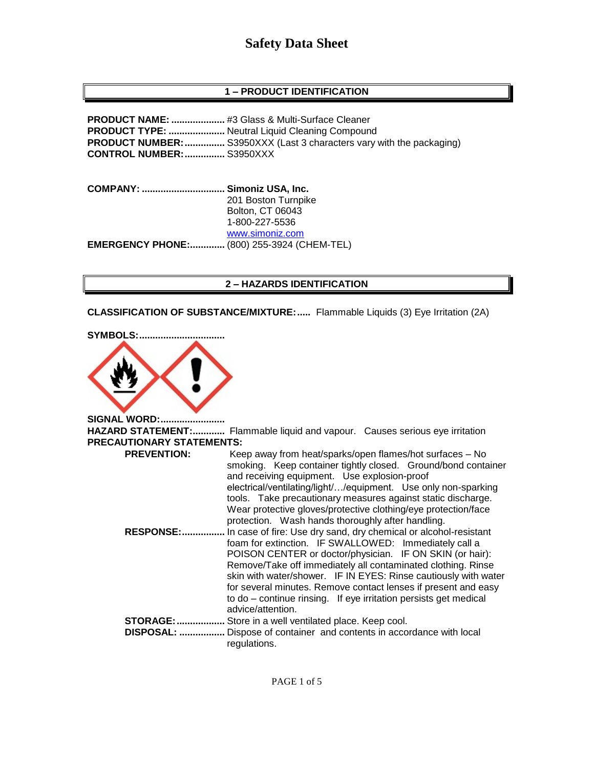## **1 – PRODUCT IDENTIFICATION**

**PRODUCT NAME: ....................** #3 Glass & Multi-Surface Cleaner **PRODUCT TYPE: .....................** Neutral Liquid Cleaning Compound **PRODUCT NUMBER:**................. S3950XXX (Last 3 characters vary with the packaging) **CONTROL NUMBER:...............** S3950XXX

**COMPANY: ............................... Simoniz USA, Inc.** 201 Boston Turnpike Bolton, CT 06043 1-800-227-5536 [www.simoniz.com](http://www.simoniz.com/) **EMERGENCY PHONE:.............** (800) 255-3924 (CHEM-TEL)

#### **2 – HAZARDS IDENTIFICATION**

**CLASSIFICATION OF SUBSTANCE/MIXTURE:.....** Flammable Liquids (3) Eye Irritation (2A)



**SIGNAL WORD:........................ HAZARD STATEMENT:............** Flammable liquid and vapour. Causes serious eye irritation **PRECAUTIONARY STATEMENTS: PREVENTION:** Keep away from heat/sparks/open flames/hot surfaces – No smoking. Keep container tightly closed. Ground/bond container and receiving equipment. Use explosion-proof electrical/ventilating/light/…/equipment. Use only non-sparking tools. Take precautionary measures against static discharge. Wear protective gloves/protective clothing/eye protection/face protection. Wash hands thoroughly after handling.  **RESPONSE:................** In case of fire: Use dry sand, dry chemical or alcohol-resistant foam for extinction. IF SWALLOWED: Immediately call a POISON CENTER or doctor/physician. IF ON SKIN (or hair): Remove/Take off immediately all contaminated clothing. Rinse skin with water/shower. IF IN EYES: Rinse cautiously with water for several minutes. Remove contact lenses if present and easy to do – continue rinsing. If eye irritation persists get medical advice/attention. **STORAGE:..................** Store in a well ventilated place. Keep cool.  **DISPOSAL: .................** Dispose of container and contents in accordance with local regulations.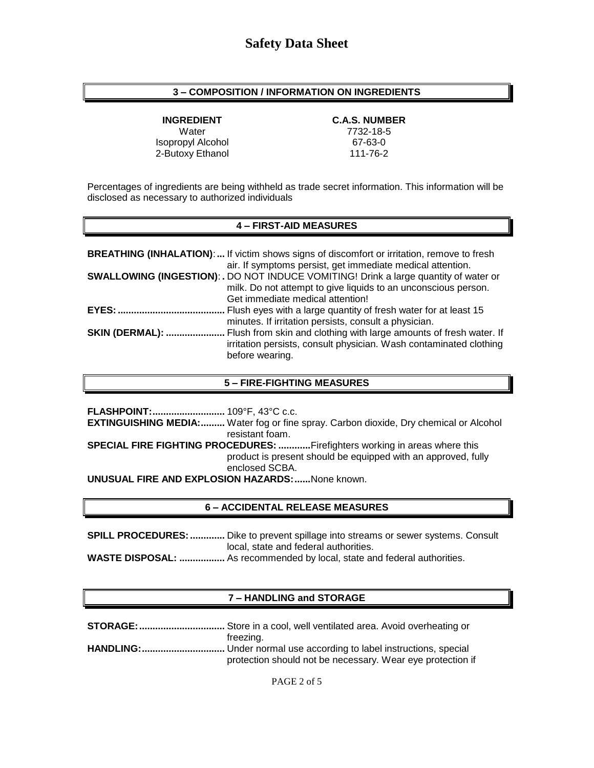#### **3 – COMPOSITION / INFORMATION ON INGREDIENTS**

Isopropyl Alcohol 67-63-0 2-Butoxy Ethanol 111-76-2

#### **INGREDIENT C.A.S. NUMBER**

Water 7732-18-5

Percentages of ingredients are being withheld as trade secret information. This information will be disclosed as necessary to authorized individuals

#### **4 – FIRST-AID MEASURES**

|                        | <b>BREATHING (INHALATION):</b> If victim shows signs of discomfort or irritation, remove to fresh<br>air. If symptoms persist, get immediate medical attention. |
|------------------------|-----------------------------------------------------------------------------------------------------------------------------------------------------------------|
|                        | SWALLOWING (INGESTION): . DO NOT INDUCE VOMITING! Drink a large quantity of water or                                                                            |
|                        | milk. Do not attempt to give liquids to an unconscious person.                                                                                                  |
|                        | Get immediate medical attention!                                                                                                                                |
| EYES:                  | . Flush eyes with a large quantity of fresh water for at least 15                                                                                               |
|                        | minutes. If irritation persists, consult a physician.                                                                                                           |
| <b>SKIN (DERMAL): </b> | Flush from skin and clothing with large amounts of fresh water. If<br>irritation persists, consult physician. Wash contaminated clothing<br>before wearing.     |

#### **5 – FIRE-FIGHTING MEASURES**

| <b>FLASHPOINT: 109°F, 43°C c.c.</b>                                        |                                                                                                                 |  |
|----------------------------------------------------------------------------|-----------------------------------------------------------------------------------------------------------------|--|
|                                                                            | <b>EXTINGUISHING MEDIA:</b> Water fog or fine spray. Carbon dioxide, Dry chemical or Alcohol<br>resistant foam. |  |
| SPECIAL FIRE FIGHTING PROCEDURES: Firefighters working in areas where this |                                                                                                                 |  |
|                                                                            | product is present should be equipped with an approved, fully<br>enclosed SCBA.                                 |  |
| <b>UNUSUAL FIRE AND EXPLOSION HAZARDS:  None known.</b>                    |                                                                                                                 |  |

#### **6 – ACCIDENTAL RELEASE MEASURES**

**SPILL PROCEDURES:.............** Dike to prevent spillage into streams or sewer systems. Consult local, state and federal authorities.

**WASTE DISPOSAL: .................** As recommended by local, state and federal authorities.

## **7 – HANDLING and STORAGE**

| freezing.                                                  |
|------------------------------------------------------------|
|                                                            |
| protection should not be necessary. Wear eye protection if |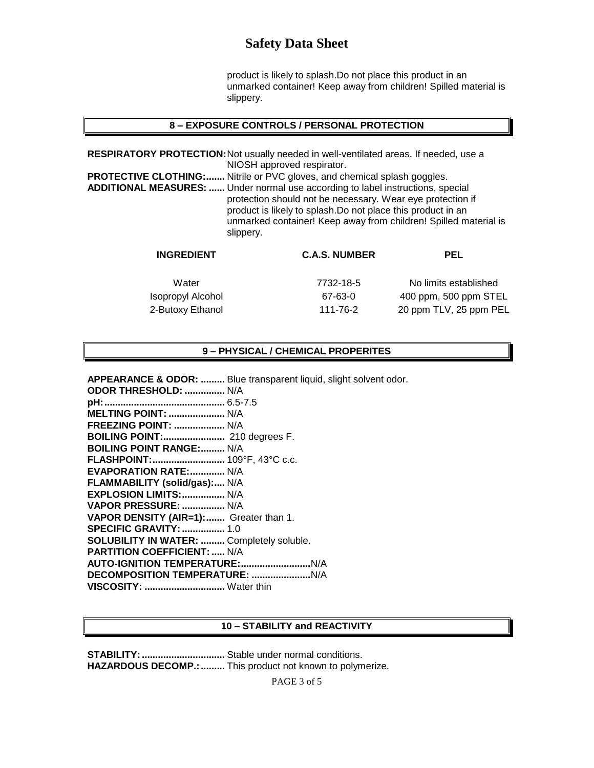# **Safety Data Sheet**

product is likely to splash.Do not place this product in an unmarked container! Keep away from children! Spilled material is slippery.

#### **8 – EXPOSURE CONTROLS / PERSONAL PROTECTION**

**RESPIRATORY PROTECTION:**Not usually needed in well-ventilated areas. If needed, use a NIOSH approved respirator. **PROTECTIVE CLOTHING:.......** Nitrile or PVC gloves, and chemical splash goggles. **ADDITIONAL MEASURES: ......** Under normal use according to label instructions, special protection should not be necessary. Wear eye protection if product is likely to splash.Do not place this product in an unmarked container! Keep away from children! Spilled material is slippery.

| <b>INGREDIENT</b>        | <b>C.A.S. NUMBER</b> | PEL                    |
|--------------------------|----------------------|------------------------|
| Water                    | 7732-18-5            | No limits established  |
| <b>Isopropyl Alcohol</b> | 67-63-0              | 400 ppm, 500 ppm STEL  |
| 2-Butoxy Ethanol         | 111-76-2             | 20 ppm TLV, 25 ppm PEL |

#### **9 – PHYSICAL / CHEMICAL PROPERITES**

**APPEARANCE & ODOR: .........** Blue transparent liquid, slight solvent odor.

| ODOR THRESHOLD:  N/A                             |  |
|--------------------------------------------------|--|
|                                                  |  |
| <b>MELTING POINT:  N/A</b>                       |  |
| <b>FREEZING POINT:  N/A</b>                      |  |
| <b>BOILING POINT:</b> 210 degrees F.             |  |
| <b>BOILING POINT RANGE: N/A</b>                  |  |
| FLASHPOINT: 109°F, 43°C c.c.                     |  |
| EVAPORATION RATE:  N/A                           |  |
| FLAMMABILITY (solid/gas): N/A                    |  |
| <b>EXPLOSION LIMITS:  N/A</b>                    |  |
| VAPOR PRESSURE:  N/A                             |  |
| VAPOR DENSITY (AIR=1): Greater than 1.           |  |
| <b>SPECIFIC GRAVITY:  1.0</b>                    |  |
| <b>SOLUBILITY IN WATER:  Completely soluble.</b> |  |
| <b>PARTITION COEFFICIENT:  N/A</b>               |  |
|                                                  |  |
|                                                  |  |
| VISCOSITY:  Water thin                           |  |

#### **10 – STABILITY and REACTIVITY**

**STABILITY:...............................** Stable under normal conditions. **HAZARDOUS DECOMP.:.........** This product not known to polymerize.

PAGE 3 of 5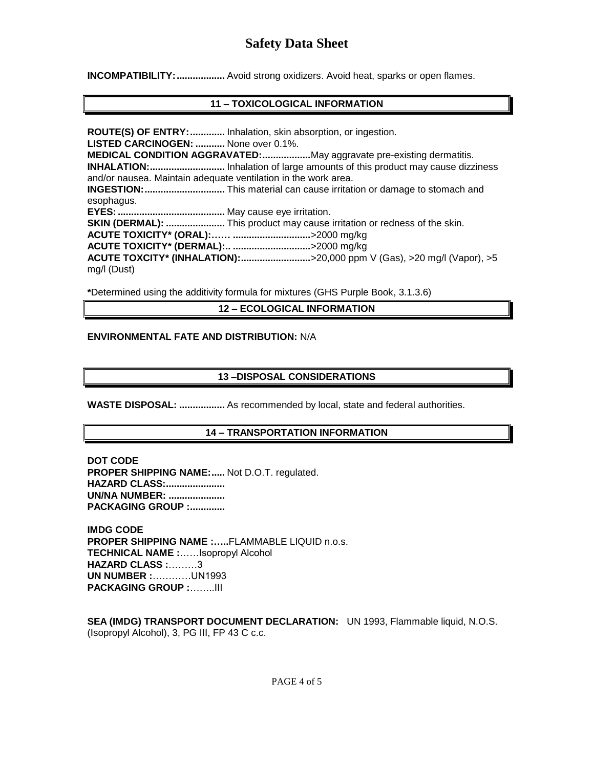# **Safety Data Sheet**

**INCOMPATIBILITY:..................** Avoid strong oxidizers. Avoid heat, sparks or open flames.

### **11 – TOXICOLOGICAL INFORMATION**

**ROUTE(S) OF ENTRY:.............** Inhalation, skin absorption, or ingestion. **LISTED CARCINOGEN: ...........** None over 0.1%. **MEDICAL CONDITION AGGRAVATED:..................**May aggravate pre-existing dermatitis. **INHALATION:............................** Inhalation of large amounts of this product may cause dizziness and/or nausea. Maintain adequate ventilation in the work area. **INGESTION:..............................** This material can cause irritation or damage to stomach and esophagus. **EYES:........................................** May cause eye irritation. **SKIN (DERMAL): ......................** This product may cause irritation or redness of the skin. **ACUTE TOXICITY\* (ORAL):…… .............................**>2000 mg/kg **ACUTE TOXICITY\* (DERMAL):.. .............................**>2000 mg/kg **ACUTE TOXCITY\* (INHALATION):..........................**>20,000 ppm V (Gas), >20 mg/l (Vapor), >5 mg/l (Dust)

**\***Determined using the additivity formula for mixtures (GHS Purple Book, 3.1.3.6)

#### **12 – ECOLOGICAL INFORMATION**

#### **ENVIRONMENTAL FATE AND DISTRIBUTION:** N/A

#### **13 –DISPOSAL CONSIDERATIONS**

**WASTE DISPOSAL: .................** As recommended by local, state and federal authorities.

#### **14 – TRANSPORTATION INFORMATION**

**DOT CODE PROPER SHIPPING NAME:.....** Not D.O.T. regulated. **HAZARD CLASS:...................... UN/NA NUMBER: ..................... PACKAGING GROUP :.............**

**IMDG CODE PROPER SHIPPING NAME :…..**FLAMMABLE LIQUID n.o.s. **TECHNICAL NAME :**……Isopropyl Alcohol **HAZARD CLASS :**………3 **UN NUMBER :**…………UN1993 **PACKAGING GROUP :**……..III

**SEA (IMDG) TRANSPORT DOCUMENT DECLARATION:** UN 1993, Flammable liquid, N.O.S. (Isopropyl Alcohol), 3, PG III, FP 43 C c.c.